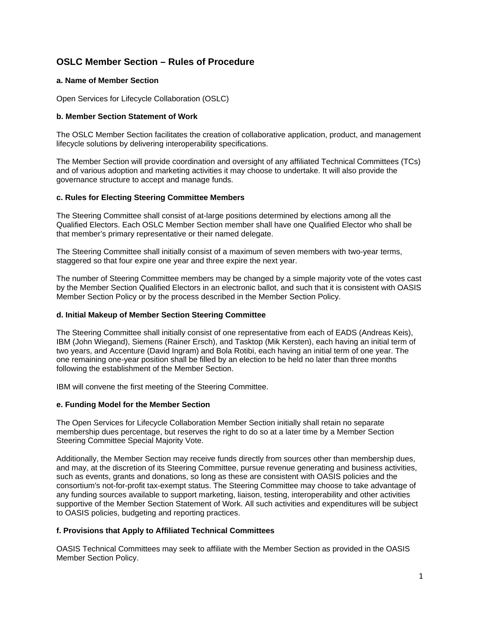# **OSLC Member Section – Rules of Procedure**

## **a. Name of Member Section**

Open Services for Lifecycle Collaboration (OSLC)

# **b. Member Section Statement of Work**

The OSLC Member Section facilitates the creation of collaborative application, product, and management lifecycle solutions by delivering interoperability specifications.

The Member Section will provide coordination and oversight of any affiliated Technical Committees (TCs) and of various adoption and marketing activities it may choose to undertake. It will also provide the governance structure to accept and manage funds.

## **c. Rules for Electing Steering Committee Members**

The Steering Committee shall consist of at-large positions determined by elections among all the Qualified Electors. Each OSLC Member Section member shall have one Qualified Elector who shall be that member's primary representative or their named delegate.

The Steering Committee shall initially consist of a maximum of seven members with two-year terms, staggered so that four expire one year and three expire the next year.

The number of Steering Committee members may be changed by a simple majority vote of the votes cast by the Member Section Qualified Electors in an electronic ballot, and such that it is consistent with OASIS Member Section Policy or by the process described in the Member Section Policy.

#### **d. Initial Makeup of Member Section Steering Committee**

The Steering Committee shall initially consist of one representative from each of EADS (Andreas Keis), IBM (John Wiegand), Siemens (Rainer Ersch), and Tasktop (Mik Kersten), each having an initial term of two years, and Accenture (David Ingram) and Bola Rotibi, each having an initial term of one year. The one remaining one-year position shall be filled by an election to be held no later than three months following the establishment of the Member Section.

IBM will convene the first meeting of the Steering Committee.

#### **e. Funding Model for the Member Section**

The Open Services for Lifecycle Collaboration Member Section initially shall retain no separate membership dues percentage, but reserves the right to do so at a later time by a Member Section Steering Committee Special Majority Vote.

Additionally, the Member Section may receive funds directly from sources other than membership dues, and may, at the discretion of its Steering Committee, pursue revenue generating and business activities, such as events, grants and donations, so long as these are consistent with OASIS policies and the consortium's not-for-profit tax-exempt status. The Steering Committee may choose to take advantage of any funding sources available to support marketing, liaison, testing, interoperability and other activities supportive of the Member Section Statement of Work. All such activities and expenditures will be subject to OASIS policies, budgeting and reporting practices.

#### **f. Provisions that Apply to Affiliated Technical Committees**

OASIS Technical Committees may seek to affiliate with the Member Section as provided in the OASIS Member Section Policy.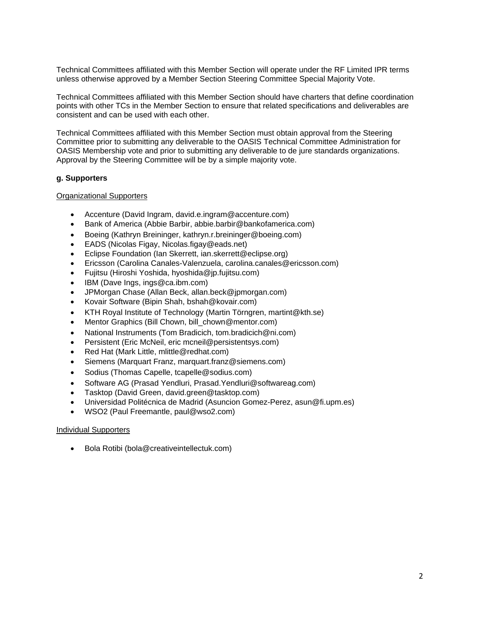Technical Committees affiliated with this Member Section will operate under the RF Limited IPR terms unless otherwise approved by a Member Section Steering Committee Special Majority Vote.

Technical Committees affiliated with this Member Section should have charters that define coordination points with other TCs in the Member Section to ensure that related specifications and deliverables are consistent and can be used with each other.

Technical Committees affiliated with this Member Section must obtain approval from the Steering Committee prior to submitting any deliverable to the OASIS Technical Committee Administration for OASIS Membership vote and prior to submitting any deliverable to de jure standards organizations. Approval by the Steering Committee will be by a simple majority vote.

## **g. Supporters**

#### Organizational Supporters

- Accenture (David Ingram, david.e.ingram@accenture.com)
- Bank of America (Abbie Barbir, abbie.barbir@bankofamerica.com)
- Boeing (Kathryn Breininger, kathryn.r.breininger@boeing.com)
- EADS (Nicolas Figay, Nicolas.figay@eads.net)
- Eclipse Foundation (Ian Skerrett, ian.skerrett@eclipse.org)
- Ericsson (Carolina Canales-Valenzuela, carolina.canales@ericsson.com)
- Fujitsu (Hiroshi Yoshida, hyoshida@jp.fujitsu.com)
- IBM (Dave Ings, ings@ca.ibm.com)
- JPMorgan Chase (Allan Beck, allan.beck@jpmorgan.com)
- Kovair Software (Bipin Shah, bshah@kovair.com)
- KTH Royal Institute of Technology (Martin Törngren, martint@kth.se)
- Mentor Graphics (Bill Chown, bill chown@mentor.com)
- National Instruments (Tom Bradicich, tom.bradicich@ni.com)
- Persistent (Eric McNeil, eric mcneil@persistentsys.com)
- Red Hat (Mark Little, mlittle@redhat.com)
- Siemens (Marquart Franz, marquart.franz@siemens.com)
- Sodius (Thomas Capelle, tcapelle@sodius.com)
- Software AG (Prasad Yendluri, Prasad.Yendluri@softwareag.com)
- Tasktop (David Green, david.green@tasktop.com)
- Universidad Politécnica de Madrid (Asuncion Gomez-Perez, asun@fi.upm.es)
- WSO2 (Paul Freemantle, paul@wso2.com)

#### Individual Supporters

Bola Rotibi (bola@creativeintellectuk.com)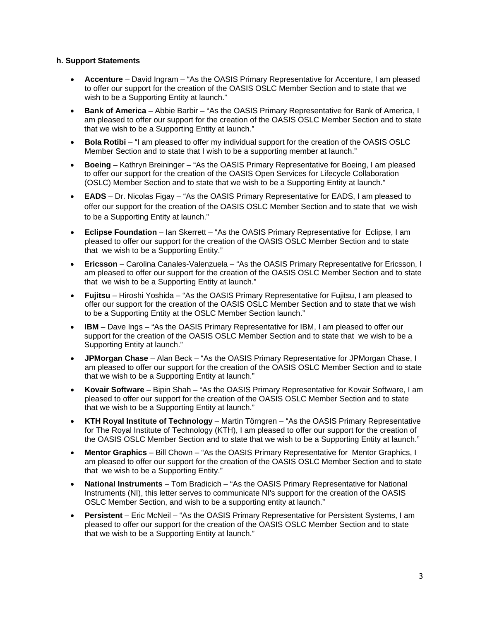# **h. Support Statements**

- **Accenture**  David Ingram "As the OASIS Primary Representative for Accenture, I am pleased to offer our support for the creation of the OASIS OSLC Member Section and to state that we wish to be a Supporting Entity at launch."
- **Bank of America** Abbie Barbir "As the OASIS Primary Representative for Bank of America, I am pleased to offer our support for the creation of the OASIS OSLC Member Section and to state that we wish to be a Supporting Entity at launch."
- **Bola Rotibi**  "I am pleased to offer my individual support for the creation of the OASIS OSLC Member Section and to state that I wish to be a supporting member at launch."
- **Boeing** Kathryn Breininger "As the OASIS Primary Representative for Boeing, I am pleased to offer our support for the creation of the OASIS Open Services for Lifecycle Collaboration (OSLC) Member Section and to state that we wish to be a Supporting Entity at launch."
- **EADS** Dr. Nicolas Figay "As the OASIS Primary Representative for EADS, I am pleased to offer our support for the creation of the OASIS OSLC Member Section and to state that we wish to be a Supporting Entity at launch."
- **Eclipse Foundation** Ian Skerrett "As the OASIS Primary Representative for Eclipse, I am pleased to offer our support for the creation of the OASIS OSLC Member Section and to state that we wish to be a Supporting Entity."
- **Ericsson** Carolina Canales-Valenzuela "As the OASIS Primary Representative for Ericsson, I am pleased to offer our support for the creation of the OASIS OSLC Member Section and to state that we wish to be a Supporting Entity at launch."
- **Fujitsu** Hiroshi Yoshida "As the OASIS Primary Representative for Fujitsu, I am pleased to offer our support for the creation of the OASIS OSLC Member Section and to state that we wish to be a Supporting Entity at the OSLC Member Section launch."
- **IBM** Dave Ings "As the OASIS Primary Representative for IBM, I am pleased to offer our support for the creation of the OASIS OSLC Member Section and to state that we wish to be a Supporting Entity at launch."
- **JPMorgan Chase** Alan Beck "As the OASIS Primary Representative for JPMorgan Chase, I am pleased to offer our support for the creation of the OASIS OSLC Member Section and to state that we wish to be a Supporting Entity at launch."
- **Kovair Software**  Bipin Shah "As the OASIS Primary Representative for Kovair Software, I am pleased to offer our support for the creation of the OASIS OSLC Member Section and to state that we wish to be a Supporting Entity at launch."
- **KTH Royal Institute of Technology**  Martin Törngren "As the OASIS Primary Representative for The Royal Institute of Technology (KTH), I am pleased to offer our support for the creation of the OASIS OSLC Member Section and to state that we wish to be a Supporting Entity at launch."
- **Mentor Graphics**  Bill Chown "As the OASIS Primary Representative for Mentor Graphics, I am pleased to offer our support for the creation of the OASIS OSLC Member Section and to state that we wish to be a Supporting Entity."
- **National Instruments**  Tom Bradicich "As the OASIS Primary Representative for National Instruments (NI), this letter serves to communicate NI's support for the creation of the OASIS OSLC Member Section, and wish to be a supporting entity at launch."
- **Persistent**  Eric McNeil "As the OASIS Primary Representative for Persistent Systems, I am pleased to offer our support for the creation of the OASIS OSLC Member Section and to state that we wish to be a Supporting Entity at launch."